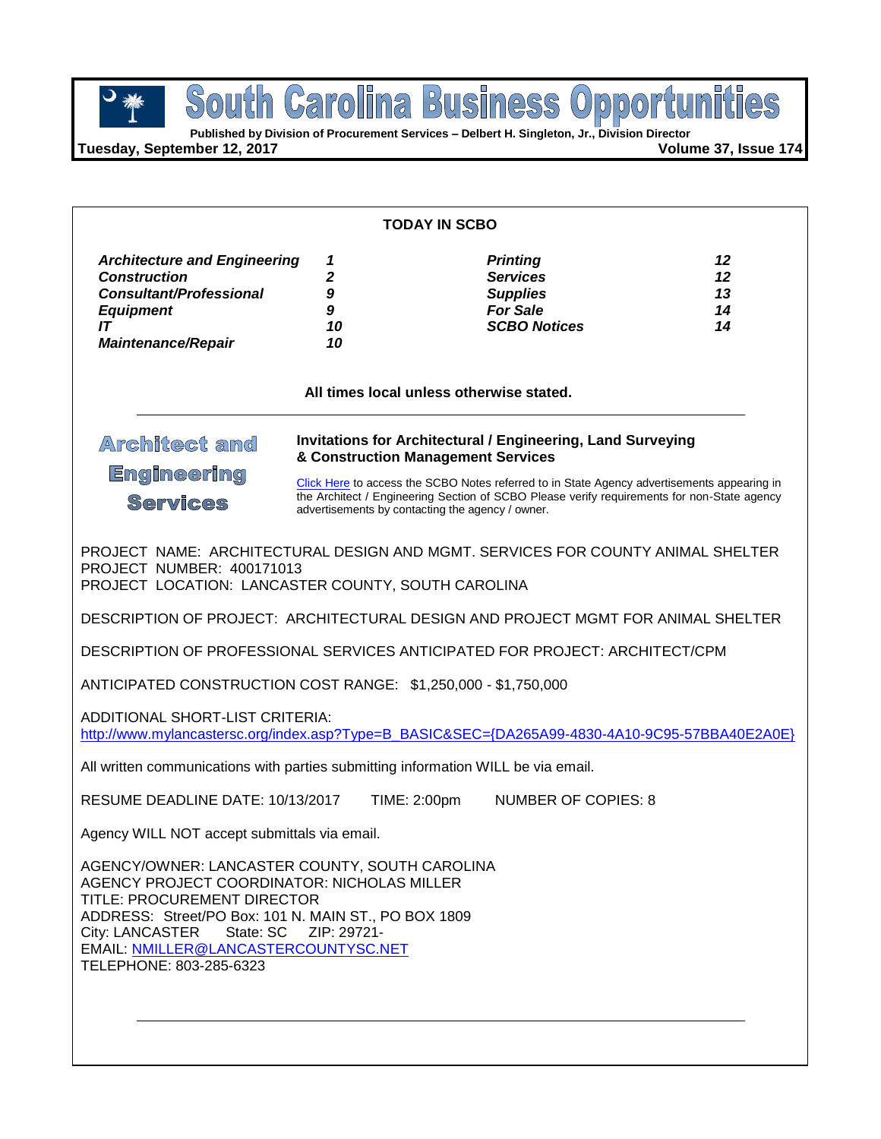**Published by Division of Procurement Services – Delbert H. Singleton, Jr., Division Director**

**Tuesday, September 12, 2017 Volume 37, Issue 174**

| <b>TODAY IN SCBO</b>                                                                                                                                                                                                                                                                             |                                                                                                                                                                                                                                                                                                                                                                                                     |                                                                                                 |                            |  |  |  |
|--------------------------------------------------------------------------------------------------------------------------------------------------------------------------------------------------------------------------------------------------------------------------------------------------|-----------------------------------------------------------------------------------------------------------------------------------------------------------------------------------------------------------------------------------------------------------------------------------------------------------------------------------------------------------------------------------------------------|-------------------------------------------------------------------------------------------------|----------------------------|--|--|--|
| <b>Architecture and Engineering</b><br><b>Construction</b><br><b>Consultant/Professional</b><br><b>Equipment</b><br>IT<br><b>Maintenance/Repair</b>                                                                                                                                              | 1<br>2<br>9<br>9<br>10<br>10                                                                                                                                                                                                                                                                                                                                                                        | <b>Printing</b><br><b>Services</b><br><b>Supplies</b><br><b>For Sale</b><br><b>SCBO Notices</b> | 12<br>12<br>13<br>14<br>14 |  |  |  |
| All times local unless otherwise stated.                                                                                                                                                                                                                                                         |                                                                                                                                                                                                                                                                                                                                                                                                     |                                                                                                 |                            |  |  |  |
| <b>Architect amd</b>                                                                                                                                                                                                                                                                             | <b>Invitations for Architectural / Engineering, Land Surveying</b><br>& Construction Management Services<br><b>Engineering</b><br>Click Here to access the SCBO Notes referred to in State Agency advertisements appearing in<br>the Architect / Engineering Section of SCBO Please verify requirements for non-State agency<br><b>Services</b><br>advertisements by contacting the agency / owner. |                                                                                                 |                            |  |  |  |
|                                                                                                                                                                                                                                                                                                  |                                                                                                                                                                                                                                                                                                                                                                                                     |                                                                                                 |                            |  |  |  |
| PROJECT NAME: ARCHITECTURAL DESIGN AND MGMT, SERVICES FOR COUNTY ANIMAL SHELTER<br>PROJECT NUMBER: 400171013<br>PROJECT LOCATION: LANCASTER COUNTY, SOUTH CAROLINA                                                                                                                               |                                                                                                                                                                                                                                                                                                                                                                                                     |                                                                                                 |                            |  |  |  |
|                                                                                                                                                                                                                                                                                                  |                                                                                                                                                                                                                                                                                                                                                                                                     | DESCRIPTION OF PROJECT: ARCHITECTURAL DESIGN AND PROJECT MGMT FOR ANIMAL SHELTER                |                            |  |  |  |
| DESCRIPTION OF PROFESSIONAL SERVICES ANTICIPATED FOR PROJECT: ARCHITECT/CPM                                                                                                                                                                                                                      |                                                                                                                                                                                                                                                                                                                                                                                                     |                                                                                                 |                            |  |  |  |
| ANTICIPATED CONSTRUCTION COST RANGE: \$1,250,000 - \$1,750,000                                                                                                                                                                                                                                   |                                                                                                                                                                                                                                                                                                                                                                                                     |                                                                                                 |                            |  |  |  |
| ADDITIONAL SHORT-LIST CRITERIA:                                                                                                                                                                                                                                                                  |                                                                                                                                                                                                                                                                                                                                                                                                     | http://www.mylancastersc.org/index.asp?Type=B_BASIC&SEC={DA265A99-4830-4A10-9C95-57BBA40E2A0E}  |                            |  |  |  |
| All written communications with parties submitting information WILL be via email.                                                                                                                                                                                                                |                                                                                                                                                                                                                                                                                                                                                                                                     |                                                                                                 |                            |  |  |  |
| RESUME DEADLINE DATE: 10/13/2017                                                                                                                                                                                                                                                                 |                                                                                                                                                                                                                                                                                                                                                                                                     | TIME: 2:00pm<br><b>NUMBER OF COPIES: 8</b>                                                      |                            |  |  |  |
| Agency WILL NOT accept submittals via email.                                                                                                                                                                                                                                                     |                                                                                                                                                                                                                                                                                                                                                                                                     |                                                                                                 |                            |  |  |  |
| AGENCY/OWNER: LANCASTER COUNTY, SOUTH CAROLINA<br>AGENCY PROJECT COORDINATOR: NICHOLAS MILLER<br>TITLE: PROCUREMENT DIRECTOR<br>ADDRESS: Street/PO Box: 101 N. MAIN ST., PO BOX 1809<br>City: LANCASTER State: SC ZIP: 29721-<br>EMAIL: NMILLER@LANCASTERCOUNTYSC.NET<br>TELEPHONE: 803-285-6323 |                                                                                                                                                                                                                                                                                                                                                                                                     |                                                                                                 |                            |  |  |  |
|                                                                                                                                                                                                                                                                                                  |                                                                                                                                                                                                                                                                                                                                                                                                     |                                                                                                 |                            |  |  |  |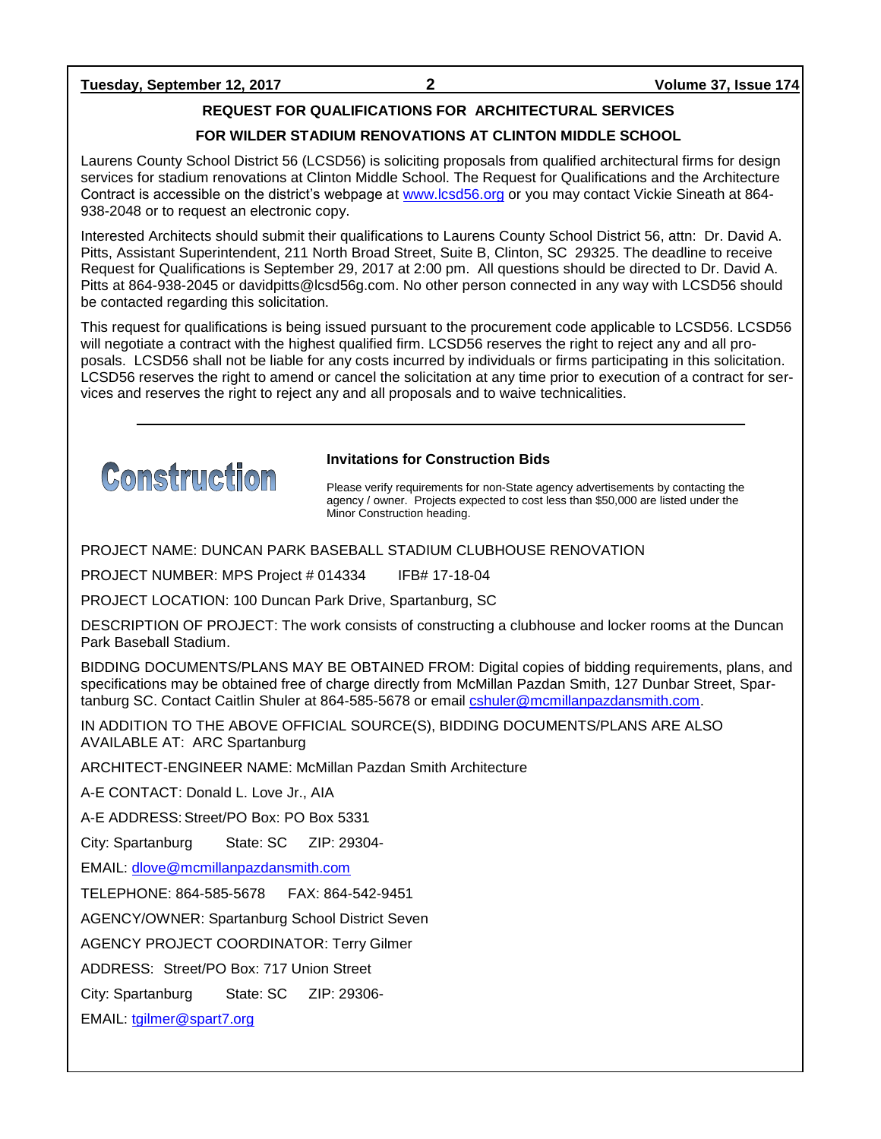### **Tuesday, September 12, 2017 2 Volume 37, Issue 174**

### **REQUEST FOR QUALIFICATIONS FOR ARCHITECTURAL SERVICES**

### **FOR WILDER STADIUM RENOVATIONS AT CLINTON MIDDLE SCHOOL**

Laurens County School District 56 (LCSD56) is soliciting proposals from qualified architectural firms for design services for stadium renovations at Clinton Middle School. The Request for Qualifications and the Architecture Contract is accessible on the district's webpage at [www.lcsd56.org](http://www.lcsd56.org/) or you may contact Vickie Sineath at 864- 938-2048 or to request an electronic copy.

Interested Architects should submit their qualifications to Laurens County School District 56, attn: Dr. David A. Pitts, Assistant Superintendent, 211 North Broad Street, Suite B, Clinton, SC 29325. The deadline to receive Request for Qualifications is September 29, 2017 at 2:00 pm. All questions should be directed to Dr. David A. Pitts at 864-938-2045 or davidpitts@lcsd56g.com. No other person connected in any way with LCSD56 should be contacted regarding this solicitation.

This request for qualifications is being issued pursuant to the procurement code applicable to LCSD56. LCSD56 will negotiate a contract with the highest qualified firm. LCSD56 reserves the right to reject any and all proposals. LCSD56 shall not be liable for any costs incurred by individuals or firms participating in this solicitation. LCSD56 reserves the right to amend or cancel the solicitation at any time prior to execution of a contract for services and reserves the right to reject any and all proposals and to waive technicalities.



### **Invitations for Construction Bids**

Please verify requirements for non-State agency advertisements by contacting the agency / owner. Projects expected to cost less than \$50,000 are listed under the Minor Construction heading.

PROJECT NAME: DUNCAN PARK BASEBALL STADIUM CLUBHOUSE RENOVATION

PROJECT NUMBER: MPS Project # 014334 IFB# 17-18-04

PROJECT LOCATION: 100 Duncan Park Drive, Spartanburg, SC

DESCRIPTION OF PROJECT: The work consists of constructing a clubhouse and locker rooms at the Duncan Park Baseball Stadium.

BIDDING DOCUMENTS/PLANS MAY BE OBTAINED FROM: Digital copies of bidding requirements, plans, and specifications may be obtained free of charge directly from McMillan Pazdan Smith, 127 Dunbar Street, Spartanburg SC. Contact Caitlin Shuler at 864-585-5678 or email **cshuler@mcmillanpazdansmith.com**.

IN ADDITION TO THE ABOVE OFFICIAL SOURCE(S), BIDDING DOCUMENTS/PLANS ARE ALSO AVAILABLE AT: ARC Spartanburg

ARCHITECT-ENGINEER NAME: McMillan Pazdan Smith Architecture

A-E CONTACT: Donald L. Love Jr., AIA

A-E ADDRESS:Street/PO Box: PO Box 5331

City: Spartanburg State: SC ZIP: 29304-

EMAIL: [dlove@mcmillanpazdansmith.com](mailto:dlove@mcmillanpazdansmith.com)

TELEPHONE: 864-585-5678 FAX: 864-542-9451

AGENCY/OWNER: Spartanburg School District Seven

AGENCY PROJECT COORDINATOR: Terry Gilmer

ADDRESS: Street/PO Box: 717 Union Street

City: Spartanburg State: SC ZIP: 29306-

EMAIL: [tgilmer@spart7.org](mailto:tgilmer@spart7.org)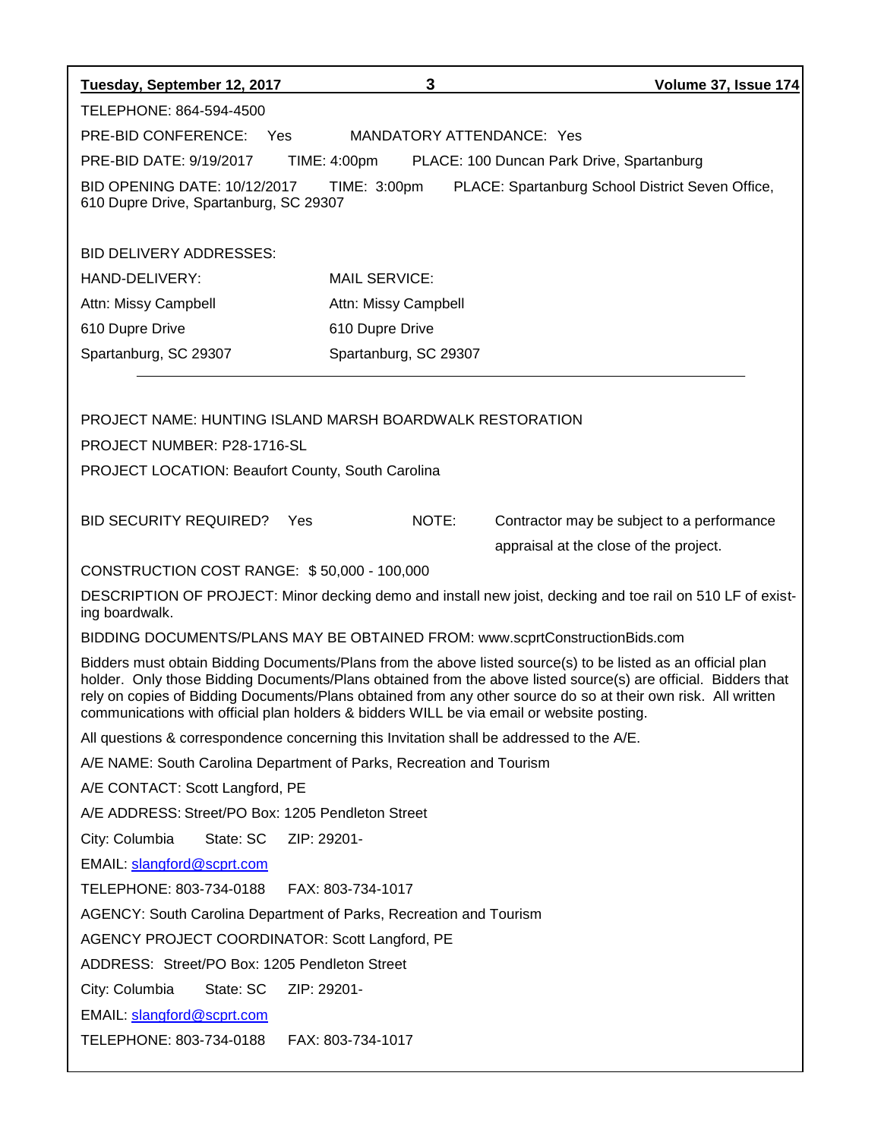| Tuesday, September 12, 2017                                                                                                                                                                                                                                                                                                                                                                                                                  | 3                         | Volume 37, Issue 174                                                                                       |  |  |  |
|----------------------------------------------------------------------------------------------------------------------------------------------------------------------------------------------------------------------------------------------------------------------------------------------------------------------------------------------------------------------------------------------------------------------------------------------|---------------------------|------------------------------------------------------------------------------------------------------------|--|--|--|
| TELEPHONE: 864-594-4500                                                                                                                                                                                                                                                                                                                                                                                                                      |                           |                                                                                                            |  |  |  |
| PRE-BID CONFERENCE: Yes                                                                                                                                                                                                                                                                                                                                                                                                                      | MANDATORY ATTENDANCE: Yes |                                                                                                            |  |  |  |
| PRE-BID DATE: 9/19/2017                                                                                                                                                                                                                                                                                                                                                                                                                      | TIME: 4:00pm              | PLACE: 100 Duncan Park Drive, Spartanburg                                                                  |  |  |  |
| <b>BID OPENING DATE: 10/12/2017</b><br>610 Dupre Drive, Spartanburg, SC 29307                                                                                                                                                                                                                                                                                                                                                                | TIME: 3:00pm              | PLACE: Spartanburg School District Seven Office,                                                           |  |  |  |
| <b>BID DELIVERY ADDRESSES:</b>                                                                                                                                                                                                                                                                                                                                                                                                               |                           |                                                                                                            |  |  |  |
| HAND-DELIVERY:                                                                                                                                                                                                                                                                                                                                                                                                                               | <b>MAIL SERVICE:</b>      |                                                                                                            |  |  |  |
| Attn: Missy Campbell                                                                                                                                                                                                                                                                                                                                                                                                                         | Attn: Missy Campbell      |                                                                                                            |  |  |  |
| 610 Dupre Drive                                                                                                                                                                                                                                                                                                                                                                                                                              | 610 Dupre Drive           |                                                                                                            |  |  |  |
| Spartanburg, SC 29307                                                                                                                                                                                                                                                                                                                                                                                                                        | Spartanburg, SC 29307     |                                                                                                            |  |  |  |
|                                                                                                                                                                                                                                                                                                                                                                                                                                              |                           |                                                                                                            |  |  |  |
| PROJECT NAME: HUNTING ISLAND MARSH BOARDWALK RESTORATION                                                                                                                                                                                                                                                                                                                                                                                     |                           |                                                                                                            |  |  |  |
| PROJECT NUMBER: P28-1716-SL                                                                                                                                                                                                                                                                                                                                                                                                                  |                           |                                                                                                            |  |  |  |
| PROJECT LOCATION: Beaufort County, South Carolina                                                                                                                                                                                                                                                                                                                                                                                            |                           |                                                                                                            |  |  |  |
|                                                                                                                                                                                                                                                                                                                                                                                                                                              |                           |                                                                                                            |  |  |  |
| <b>BID SECURITY REQUIRED?</b>                                                                                                                                                                                                                                                                                                                                                                                                                | NOTE:<br>Yes              | Contractor may be subject to a performance                                                                 |  |  |  |
|                                                                                                                                                                                                                                                                                                                                                                                                                                              |                           | appraisal at the close of the project.                                                                     |  |  |  |
| CONSTRUCTION COST RANGE: \$50,000 - 100,000                                                                                                                                                                                                                                                                                                                                                                                                  |                           |                                                                                                            |  |  |  |
| ing boardwalk.                                                                                                                                                                                                                                                                                                                                                                                                                               |                           | DESCRIPTION OF PROJECT: Minor decking demo and install new joist, decking and toe rail on 510 LF of exist- |  |  |  |
| BIDDING DOCUMENTS/PLANS MAY BE OBTAINED FROM: www.scprtConstructionBids.com                                                                                                                                                                                                                                                                                                                                                                  |                           |                                                                                                            |  |  |  |
| Bidders must obtain Bidding Documents/Plans from the above listed source(s) to be listed as an official plan<br>holder. Only those Bidding Documents/Plans obtained from the above listed source(s) are official. Bidders that<br>rely on copies of Bidding Documents/Plans obtained from any other source do so at their own risk. All written<br>communications with official plan holders & bidders WILL be via email or website posting. |                           |                                                                                                            |  |  |  |
| All questions & correspondence concerning this Invitation shall be addressed to the A/E.                                                                                                                                                                                                                                                                                                                                                     |                           |                                                                                                            |  |  |  |
| A/E NAME: South Carolina Department of Parks, Recreation and Tourism                                                                                                                                                                                                                                                                                                                                                                         |                           |                                                                                                            |  |  |  |
| A/E CONTACT: Scott Langford, PE                                                                                                                                                                                                                                                                                                                                                                                                              |                           |                                                                                                            |  |  |  |
| A/E ADDRESS: Street/PO Box: 1205 Pendleton Street                                                                                                                                                                                                                                                                                                                                                                                            |                           |                                                                                                            |  |  |  |
| City: Columbia<br>State: SC                                                                                                                                                                                                                                                                                                                                                                                                                  | ZIP: 29201-               |                                                                                                            |  |  |  |
| EMAIL: slangford@scprt.com                                                                                                                                                                                                                                                                                                                                                                                                                   |                           |                                                                                                            |  |  |  |
| TELEPHONE: 803-734-0188                                                                                                                                                                                                                                                                                                                                                                                                                      | FAX: 803-734-1017         |                                                                                                            |  |  |  |
| AGENCY: South Carolina Department of Parks, Recreation and Tourism                                                                                                                                                                                                                                                                                                                                                                           |                           |                                                                                                            |  |  |  |
| AGENCY PROJECT COORDINATOR: Scott Langford, PE                                                                                                                                                                                                                                                                                                                                                                                               |                           |                                                                                                            |  |  |  |
| ADDRESS: Street/PO Box: 1205 Pendleton Street                                                                                                                                                                                                                                                                                                                                                                                                |                           |                                                                                                            |  |  |  |
| City: Columbia<br>State: SC                                                                                                                                                                                                                                                                                                                                                                                                                  | ZIP: 29201-               |                                                                                                            |  |  |  |
| EMAIL: slangford@scprt.com                                                                                                                                                                                                                                                                                                                                                                                                                   |                           |                                                                                                            |  |  |  |
| TELEPHONE: 803-734-0188                                                                                                                                                                                                                                                                                                                                                                                                                      | FAX: 803-734-1017         |                                                                                                            |  |  |  |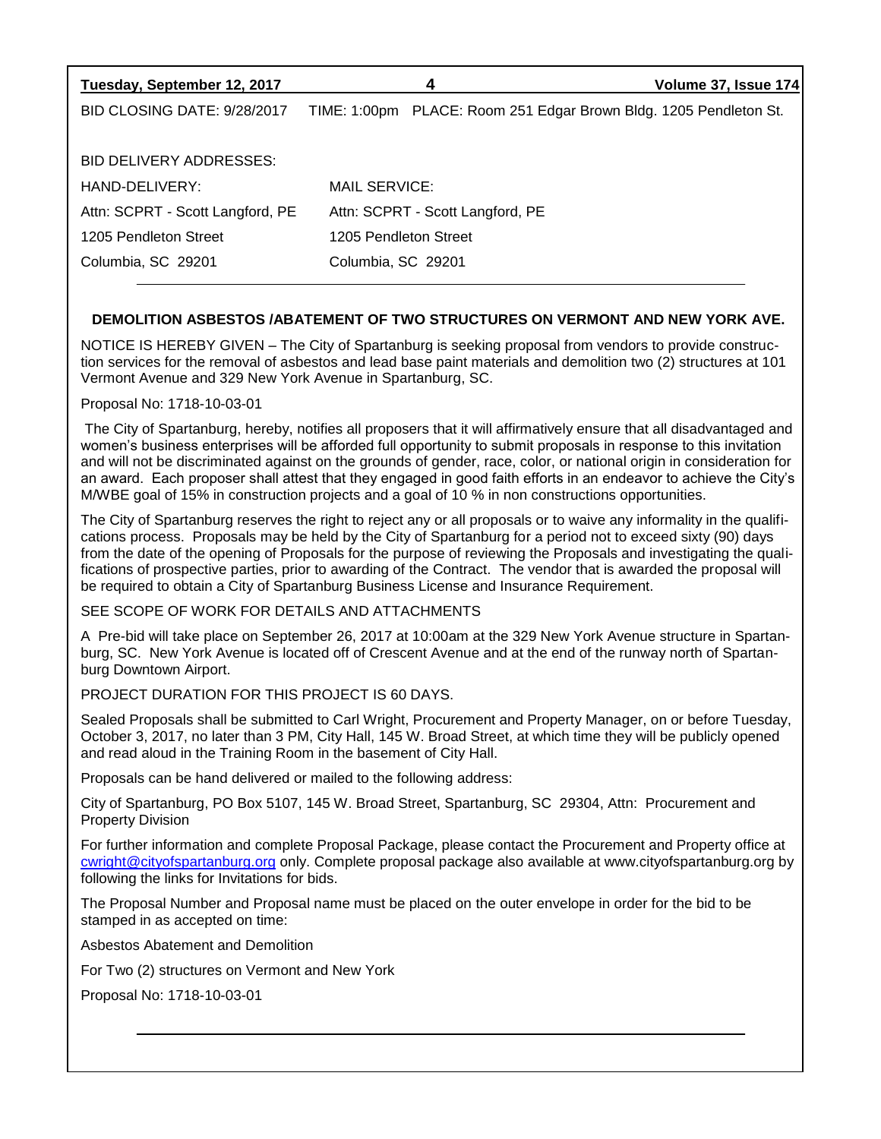| Tuesday, September 12, 2017      | 4                                                                 | Volume 37, Issue 174 |
|----------------------------------|-------------------------------------------------------------------|----------------------|
| BID CLOSING DATE: 9/28/2017      | TIME: 1:00pm PLACE: Room 251 Edgar Brown Bldg. 1205 Pendleton St. |                      |
|                                  |                                                                   |                      |
| BID DELIVERY ADDRESSES:          |                                                                   |                      |
| HAND-DELIVERY:                   | MAIL SERVICE:                                                     |                      |
| Attn: SCPRT - Scott Langford, PE | Attn: SCPRT - Scott Langford, PE                                  |                      |
| 1205 Pendleton Street            | 1205 Pendleton Street                                             |                      |
| Columbia, SC 29201               | Columbia, SC 29201                                                |                      |
|                                  |                                                                   |                      |

### **DEMOLITION ASBESTOS /ABATEMENT OF TWO STRUCTURES ON VERMONT AND NEW YORK AVE.**

NOTICE IS HEREBY GIVEN – The City of Spartanburg is seeking proposal from vendors to provide construction services for the removal of asbestos and lead base paint materials and demolition two (2) structures at 101 Vermont Avenue and 329 New York Avenue in Spartanburg, SC.

Proposal No: 1718-10-03-01

The City of Spartanburg, hereby, notifies all proposers that it will affirmatively ensure that all disadvantaged and women's business enterprises will be afforded full opportunity to submit proposals in response to this invitation and will not be discriminated against on the grounds of gender, race, color, or national origin in consideration for an award. Each proposer shall attest that they engaged in good faith efforts in an endeavor to achieve the City's M/WBE goal of 15% in construction projects and a goal of 10 % in non constructions opportunities.

The City of Spartanburg reserves the right to reject any or all proposals or to waive any informality in the qualifications process. Proposals may be held by the City of Spartanburg for a period not to exceed sixty (90) days from the date of the opening of Proposals for the purpose of reviewing the Proposals and investigating the qualifications of prospective parties, prior to awarding of the Contract. The vendor that is awarded the proposal will be required to obtain a City of Spartanburg Business License and Insurance Requirement.

SEE SCOPE OF WORK FOR DETAILS AND ATTACHMENTS

A Pre-bid will take place on September 26, 2017 at 10:00am at the 329 New York Avenue structure in Spartanburg, SC. New York Avenue is located off of Crescent Avenue and at the end of the runway north of Spartanburg Downtown Airport.

PROJECT DURATION FOR THIS PROJECT IS 60 DAYS.

Sealed Proposals shall be submitted to Carl Wright, Procurement and Property Manager, on or before Tuesday, October 3, 2017, no later than 3 PM, City Hall, 145 W. Broad Street, at which time they will be publicly opened and read aloud in the Training Room in the basement of City Hall.

Proposals can be hand delivered or mailed to the following address:

City of Spartanburg, PO Box 5107, 145 W. Broad Street, Spartanburg, SC 29304, Attn: Procurement and Property Division

For further information and complete Proposal Package, please contact the Procurement and Property office at [cwright@cityofspartanburg.org](mailto:cwright@cityofspartanburg.org) only. Complete proposal package also available at www.cityofspartanburg.org by following the links for Invitations for bids.

The Proposal Number and Proposal name must be placed on the outer envelope in order for the bid to be stamped in as accepted on time:

Asbestos Abatement and Demolition

For Two (2) structures on Vermont and New York

Proposal No: 1718-10-03-01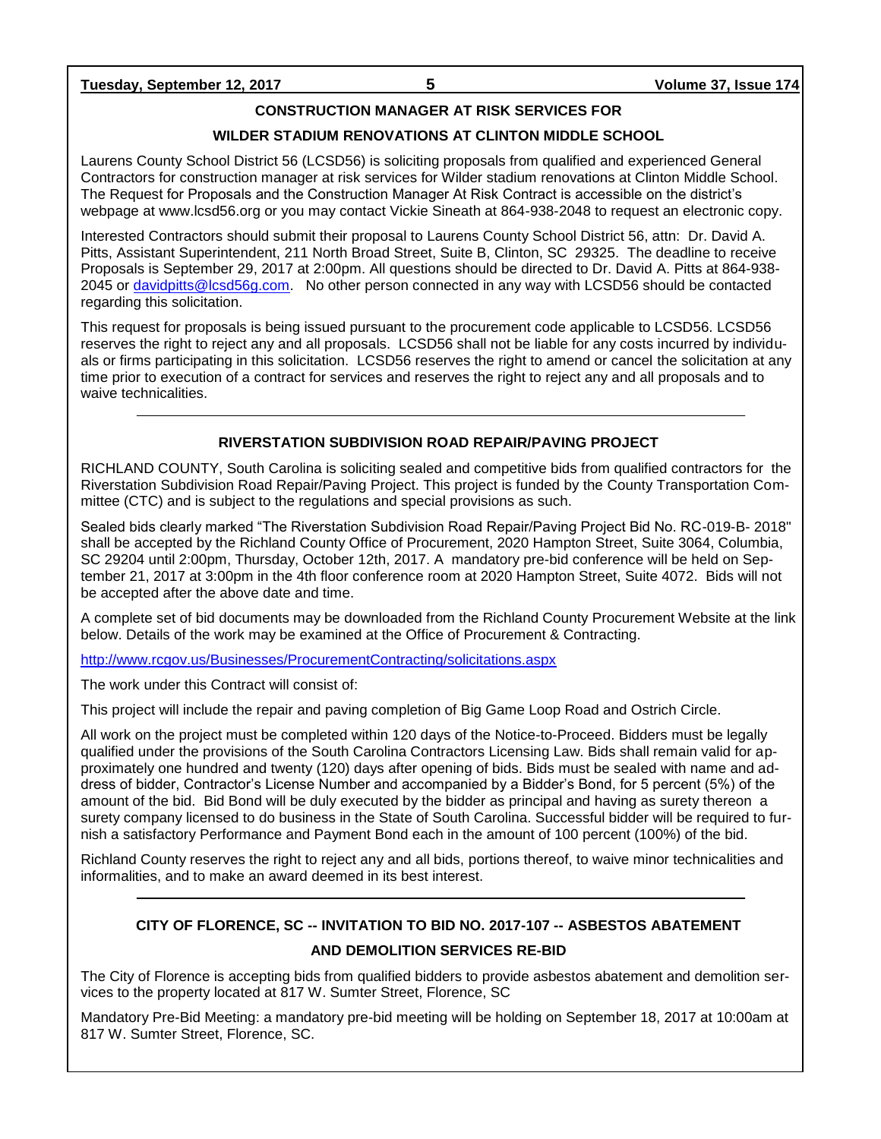### **Tuesday, September 12, 2017 5 Volume 37, Issue 174**

### **CONSTRUCTION MANAGER AT RISK SERVICES FOR**

### **WILDER STADIUM RENOVATIONS AT CLINTON MIDDLE SCHOOL**

Laurens County School District 56 (LCSD56) is soliciting proposals from qualified and experienced General Contractors for construction manager at risk services for Wilder stadium renovations at Clinton Middle School. The Request for Proposals and the Construction Manager At Risk Contract is accessible on the district's webpage at www.lcsd56.org or you may contact Vickie Sineath at 864-938-2048 to request an electronic copy.

Interested Contractors should submit their proposal to Laurens County School District 56, attn: Dr. David A. Pitts, Assistant Superintendent, 211 North Broad Street, Suite B, Clinton, SC 29325. The deadline to receive Proposals is September 29, 2017 at 2:00pm. All questions should be directed to Dr. David A. Pitts at 864-938- 2045 or [davidpitts@lcsd56g.com.](mailto:davidpitts@lcsd56g.com) No other person connected in any way with LCSD56 should be contacted regarding this solicitation.

This request for proposals is being issued pursuant to the procurement code applicable to LCSD56. LCSD56 reserves the right to reject any and all proposals. LCSD56 shall not be liable for any costs incurred by individuals or firms participating in this solicitation. LCSD56 reserves the right to amend or cancel the solicitation at any time prior to execution of a contract for services and reserves the right to reject any and all proposals and to waive technicalities.

### **RIVERSTATION SUBDIVISION ROAD REPAIR/PAVING PROJECT**

RICHLAND COUNTY, South Carolina is soliciting sealed and competitive bids from qualified contractors for the Riverstation Subdivision Road Repair/Paving Project. This project is funded by the County Transportation Committee (CTC) and is subject to the regulations and special provisions as such.

Sealed bids clearly marked "The Riverstation Subdivision Road Repair/Paving Project Bid No. RC-019-B- 2018" shall be accepted by the Richland County Office of Procurement, 2020 Hampton Street, Suite 3064, Columbia, SC 29204 until 2:00pm, Thursday, October 12th, 2017. A mandatory pre-bid conference will be held on September 21, 2017 at 3:00pm in the 4th floor conference room at 2020 Hampton Street, Suite 4072. Bids will not be accepted after the above date and time.

A complete set of bid documents may be downloaded from the Richland County Procurement Website at the link below. Details of the work may be examined at the Office of Procurement & Contracting.

<http://www.rcgov.us/Businesses/ProcurementContracting/solicitations.aspx>

The work under this Contract will consist of:

This project will include the repair and paving completion of Big Game Loop Road and Ostrich Circle.

All work on the project must be completed within 120 days of the Notice-to-Proceed. Bidders must be legally qualified under the provisions of the South Carolina Contractors Licensing Law. Bids shall remain valid for approximately one hundred and twenty (120) days after opening of bids. Bids must be sealed with name and address of bidder, Contractor's License Number and accompanied by a Bidder's Bond, for 5 percent (5%) of the amount of the bid. Bid Bond will be duly executed by the bidder as principal and having as surety thereon a surety company licensed to do business in the State of South Carolina. Successful bidder will be required to furnish a satisfactory Performance and Payment Bond each in the amount of 100 percent (100%) of the bid.

Richland County reserves the right to reject any and all bids, portions thereof, to waive minor technicalities and informalities, and to make an award deemed in its best interest.

## **CITY OF FLORENCE, SC -- INVITATION TO BID NO. 2017-107 -- ASBESTOS ABATEMENT AND DEMOLITION SERVICES RE-BID**

The City of Florence is accepting bids from qualified bidders to provide asbestos abatement and demolition services to the property located at 817 W. Sumter Street, Florence, SC

Mandatory Pre-Bid Meeting: a mandatory pre-bid meeting will be holding on September 18, 2017 at 10:00am at 817 W. Sumter Street, Florence, SC.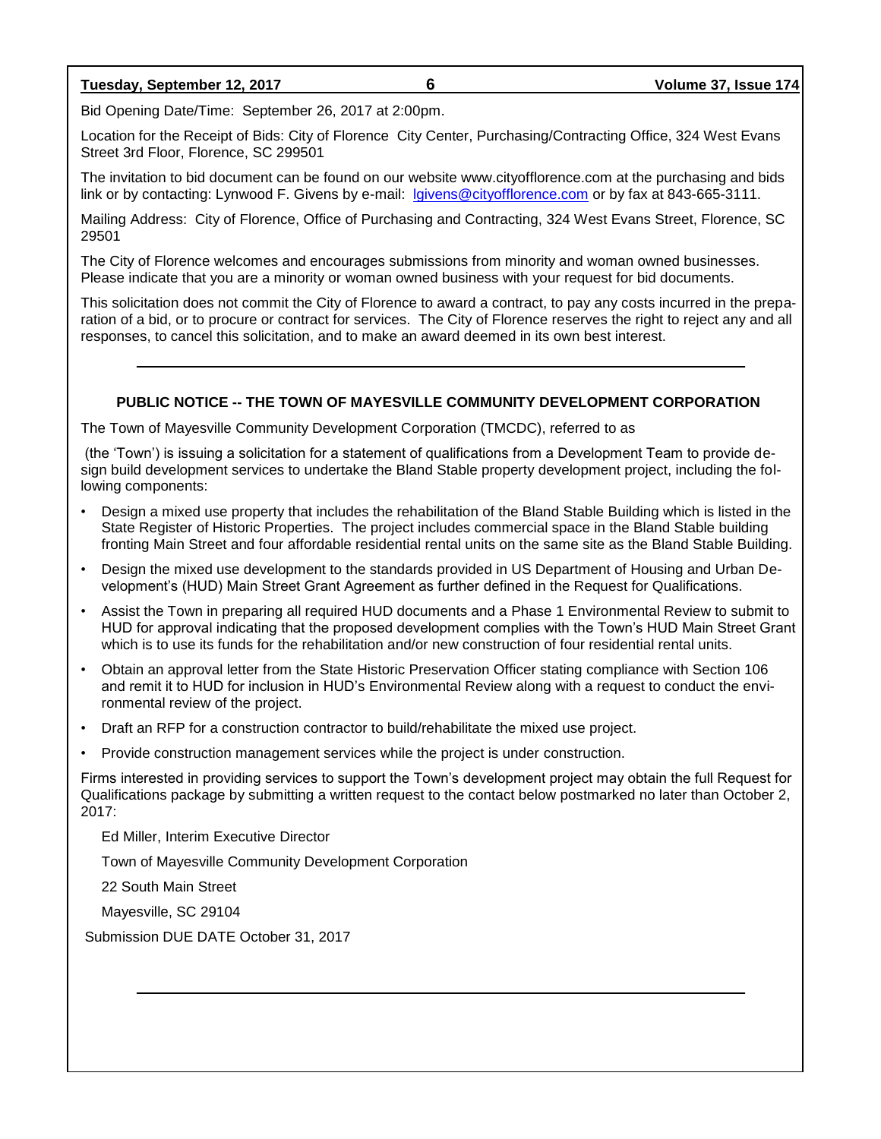### **Tuesday, September 12, 2017 6 Volume 37, Issue 174**

Bid Opening Date/Time: September 26, 2017 at 2:00pm.

Location for the Receipt of Bids: City of Florence City Center, Purchasing/Contracting Office, 324 West Evans Street 3rd Floor, Florence, SC 299501

The invitation to bid document can be found on our website www.cityofflorence.com at the purchasing and bids link or by contacting: Lynwood F. Givens by e-mail: [lgivens@cityofflorence.com](mailto:lgivens@cityofflorence.com) or by fax at 843-665-3111.

Mailing Address: City of Florence, Office of Purchasing and Contracting, 324 West Evans Street, Florence, SC 29501

The City of Florence welcomes and encourages submissions from minority and woman owned businesses. Please indicate that you are a minority or woman owned business with your request for bid documents.

This solicitation does not commit the City of Florence to award a contract, to pay any costs incurred in the preparation of a bid, or to procure or contract for services. The City of Florence reserves the right to reject any and all responses, to cancel this solicitation, and to make an award deemed in its own best interest.

### **PUBLIC NOTICE -- THE TOWN OF MAYESVILLE COMMUNITY DEVELOPMENT CORPORATION**

The Town of Mayesville Community Development Corporation (TMCDC), referred to as

(the 'Town') is issuing a solicitation for a statement of qualifications from a Development Team to provide design build development services to undertake the Bland Stable property development project, including the following components:

- Design a mixed use property that includes the rehabilitation of the Bland Stable Building which is listed in the State Register of Historic Properties. The project includes commercial space in the Bland Stable building fronting Main Street and four affordable residential rental units on the same site as the Bland Stable Building.
- Design the mixed use development to the standards provided in US Department of Housing and Urban Development's (HUD) Main Street Grant Agreement as further defined in the Request for Qualifications.
- Assist the Town in preparing all required HUD documents and a Phase 1 Environmental Review to submit to HUD for approval indicating that the proposed development complies with the Town's HUD Main Street Grant which is to use its funds for the rehabilitation and/or new construction of four residential rental units.
- Obtain an approval letter from the State Historic Preservation Officer stating compliance with Section 106 and remit it to HUD for inclusion in HUD's Environmental Review along with a request to conduct the environmental review of the project.
- Draft an RFP for a construction contractor to build/rehabilitate the mixed use project.
- Provide construction management services while the project is under construction.

Firms interested in providing services to support the Town's development project may obtain the full Request for Qualifications package by submitting a written request to the contact below postmarked no later than October 2, 2017:

Ed Miller, Interim Executive Director

Town of Mayesville Community Development Corporation

22 South Main Street

Mayesville, SC 29104

Submission DUE DATE October 31, 2017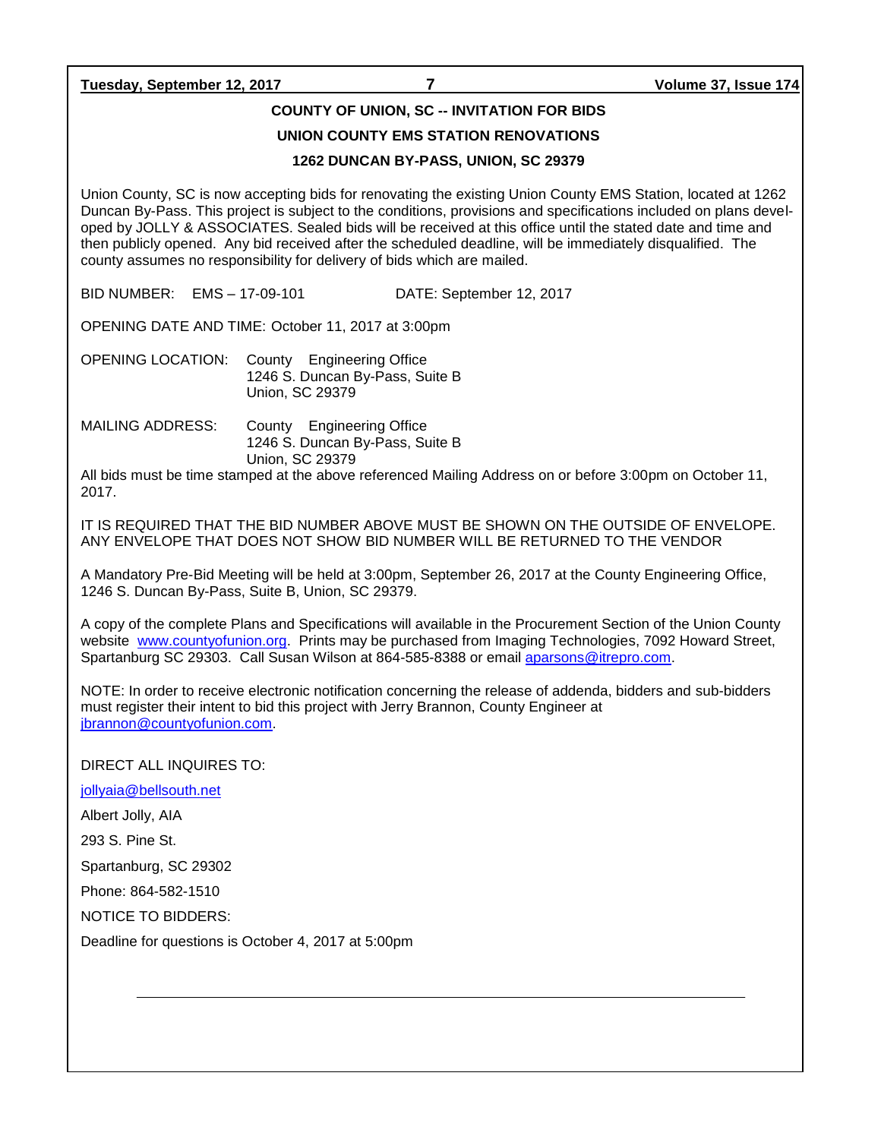**Tuesday, September 12, 2017 7 Volume 37, Issue 174**

### **COUNTY OF UNION, SC -- INVITATION FOR BIDS**

### **UNION COUNTY EMS STATION RENOVATIONS**

### **1262 DUNCAN BY-PASS, UNION, SC 29379**

Union County, SC is now accepting bids for renovating the existing Union County EMS Station, located at 1262 Duncan By-Pass. This project is subject to the conditions, provisions and specifications included on plans developed by JOLLY & ASSOCIATES. Sealed bids will be received at this office until the stated date and time and then publicly opened. Any bid received after the scheduled deadline, will be immediately disqualified. The county assumes no responsibility for delivery of bids which are mailed.

BID NUMBER: EMS – 17-09-101 DATE: September 12, 2017

OPENING DATE AND TIME: October 11, 2017 at 3:00pm

OPENING LOCATION: County Engineering Office 1246 S. Duncan By-Pass, Suite B Union, SC 29379

MAILING ADDRESS: County Engineering Office 1246 S. Duncan By-Pass, Suite B Union, SC 29379

All bids must be time stamped at the above referenced Mailing Address on or before 3:00pm on October 11, 2017.

IT IS REQUIRED THAT THE BID NUMBER ABOVE MUST BE SHOWN ON THE OUTSIDE OF ENVELOPE. ANY ENVELOPE THAT DOES NOT SHOW BID NUMBER WILL BE RETURNED TO THE VENDOR

A Mandatory Pre-Bid Meeting will be held at 3:00pm, September 26, 2017 at the County Engineering Office, 1246 S. Duncan By-Pass, Suite B, Union, SC 29379.

A copy of the complete Plans and Specifications will available in the Procurement Section of the Union County website [www.countyofunion.org.](http://www.countyofunion.org/) Prints may be purchased from Imaging Technologies, 7092 Howard Street, Spartanburg SC 29303. Call Susan Wilson at 864-585-8388 or email [aparsons@itrepro.com.](mailto:aparsons@itrepro.com)

NOTE: In order to receive electronic notification concerning the release of addenda, bidders and sub-bidders must register their intent to bid this project with Jerry Brannon, County Engineer at [jbrannon@countyofunion.com.](mailto:jbrannon@countyofunion.com)

DIRECT ALL INQUIRES TO:

[jollyaia@bellsouth.net](mailto:jollyaia@bellsouth.net)

Albert Jolly, AIA

293 S. Pine St.

Spartanburg, SC 29302

Phone: 864-582-1510

NOTICE TO BIDDERS:

Deadline for questions is October 4, 2017 at 5:00pm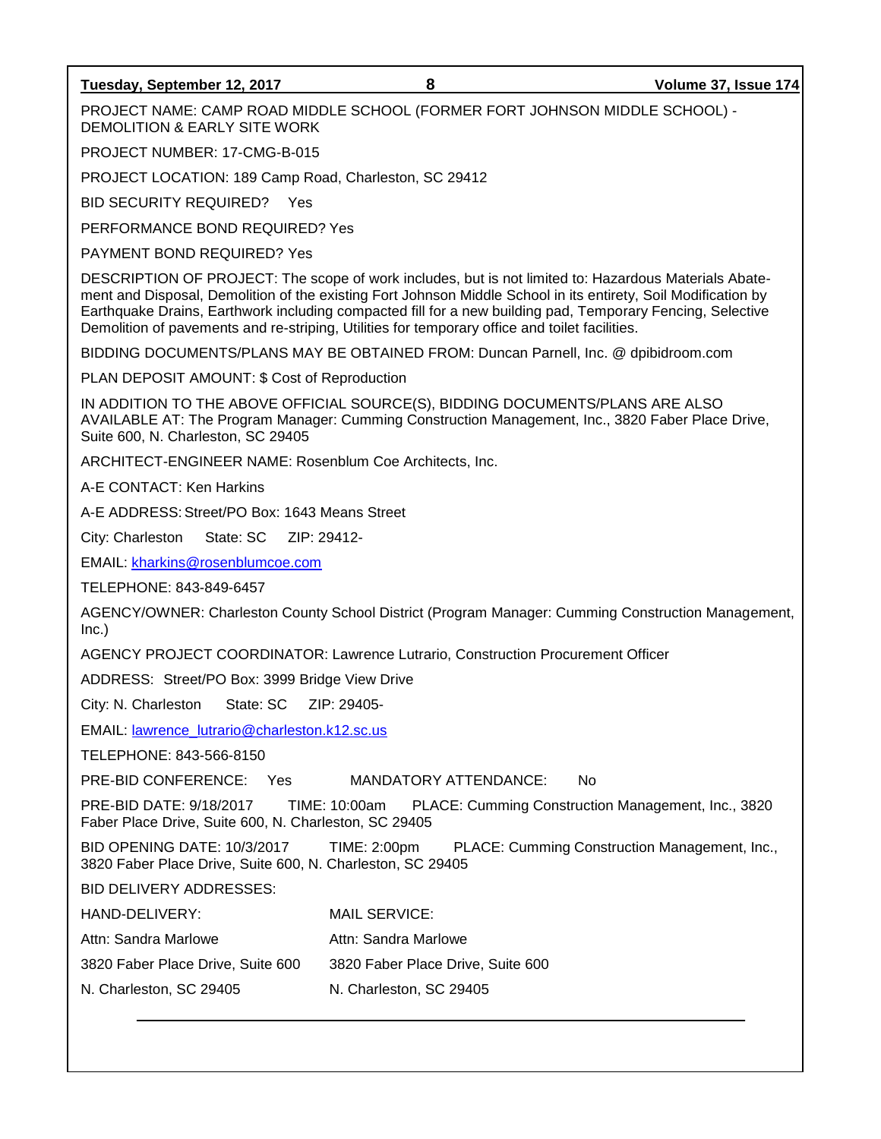### **Tuesday, September 12, 2017 8 Volume 37, Issue 174**

PROJECT NAME: CAMP ROAD MIDDLE SCHOOL (FORMER FORT JOHNSON MIDDLE SCHOOL) - DEMOLITION & EARLY SITE WORK

PROJECT NUMBER: 17-CMG-B-015

PROJECT LOCATION: 189 Camp Road, Charleston, SC 29412

BID SECURITY REQUIRED? Yes

PERFORMANCE BOND REQUIRED? Yes

PAYMENT BOND REQUIRED? Yes

DESCRIPTION OF PROJECT: The scope of work includes, but is not limited to: Hazardous Materials Abatement and Disposal, Demolition of the existing Fort Johnson Middle School in its entirety, Soil Modification by Earthquake Drains, Earthwork including compacted fill for a new building pad, Temporary Fencing, Selective Demolition of pavements and re-striping, Utilities for temporary office and toilet facilities.

BIDDING DOCUMENTS/PLANS MAY BE OBTAINED FROM: Duncan Parnell, Inc. @ dpibidroom.com

PLAN DEPOSIT AMOUNT: \$ Cost of Reproduction

IN ADDITION TO THE ABOVE OFFICIAL SOURCE(S), BIDDING DOCUMENTS/PLANS ARE ALSO AVAILABLE AT: The Program Manager: Cumming Construction Management, Inc., 3820 Faber Place Drive, Suite 600, N. Charleston, SC 29405

ARCHITECT-ENGINEER NAME: Rosenblum Coe Architects, Inc.

A-E CONTACT: Ken Harkins

A-E ADDRESS: Street/PO Box: 1643 Means Street

City: Charleston State: SC ZIP: 29412-

EMAIL: [kharkins@rosenblumcoe.com](mailto:kharkins@rosenblumcoe.com)

TELEPHONE: 843-849-6457

AGENCY/OWNER: Charleston County School District (Program Manager: Cumming Construction Management, Inc.)

AGENCY PROJECT COORDINATOR: Lawrence Lutrario, Construction Procurement Officer

ADDRESS: Street/PO Box: 3999 Bridge View Drive

City: N. Charleston State: SC ZIP: 29405-

EMAIL: [lawrence\\_lutrario@charleston.k12.sc.us](mailto:lawrence_lutrario@charleston.k12.sc.us)

TELEPHONE: 843-566-8150

PRE-BID CONFERENCE: Yes MANDATORY ATTENDANCE: No

PRE-BID DATE: 9/18/2017 TIME: 10:00am PLACE: Cumming Construction Management, Inc., 3820 Faber Place Drive, Suite 600, N. Charleston, SC 29405

BID OPENING DATE: 10/3/2017 TIME: 2:00pm PLACE: Cumming Construction Management, Inc., 3820 Faber Place Drive, Suite 600, N. Charleston, SC 29405

BID DELIVERY ADDRESSES:

| HAND-DELIVERY:       | MAIL SERVICE:        |
|----------------------|----------------------|
| Attn: Sandra Marlowe | Attn: Sandra Marlowe |

3820 Faber Place Drive, Suite 600 3820 Faber Place Drive, Suite 600

N. Charleston, SC 29405 N. Charleston, SC 29405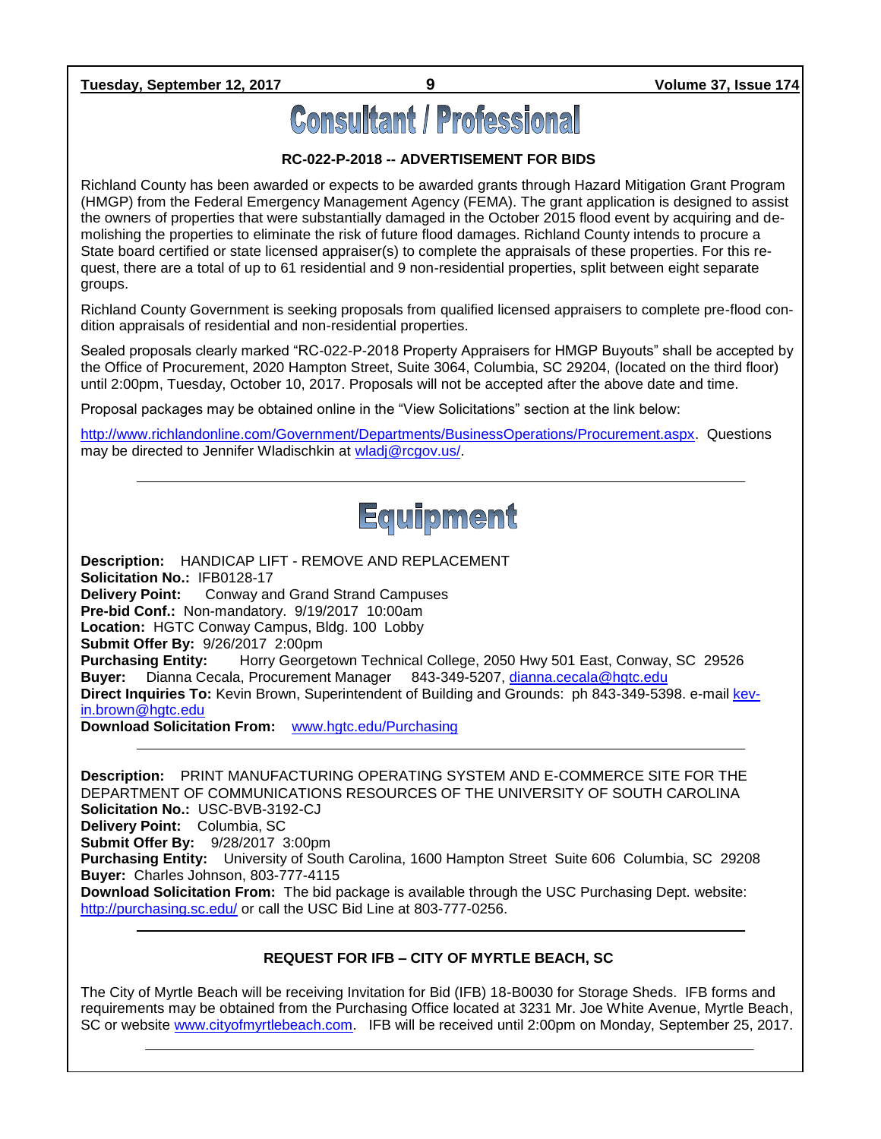**Tuesday, September 12, 2017 9 Volume 37, Issue 174**

# **Consultant / Professional**

### **RC-022-P-2018 -- ADVERTISEMENT FOR BIDS**

Richland County has been awarded or expects to be awarded grants through Hazard Mitigation Grant Program (HMGP) from the Federal Emergency Management Agency (FEMA). The grant application is designed to assist the owners of properties that were substantially damaged in the October 2015 flood event by acquiring and demolishing the properties to eliminate the risk of future flood damages. Richland County intends to procure a State board certified or state licensed appraiser(s) to complete the appraisals of these properties. For this request, there are a total of up to 61 residential and 9 non-residential properties, split between eight separate groups.

Richland County Government is seeking proposals from qualified licensed appraisers to complete pre-flood condition appraisals of residential and non-residential properties.

Sealed proposals clearly marked "RC-022-P-2018 Property Appraisers for HMGP Buyouts" shall be accepted by the Office of Procurement, 2020 Hampton Street, Suite 3064, Columbia, SC 29204, (located on the third floor) until 2:00pm, Tuesday, October 10, 2017. Proposals will not be accepted after the above date and time.

Proposal packages may be obtained online in the "View Solicitations" section at the link below:

[http://www.richlandonline.com/Government/Departments/BusinessOperations/Procurement.aspx.](http://www.richlandonline.com/Government/Departments/BusinessOperations/Procurement.aspx) Questions may be directed to Jennifer Wladischkin at [wladj@rcgov.us/.](mailto:wladj@rcgov.us/)



**Description:** HANDICAP LIFT - REMOVE AND REPLACEMENT **Solicitation No.:** IFB0128-17 **Delivery Point:** Conway and Grand Strand Campuses **Pre-bid Conf.:** Non-mandatory. 9/19/2017 10:00am **Location:** HGTC Conway Campus, Bldg. 100 Lobby **Submit Offer By:** 9/26/2017 2:00pm **Purchasing Entity:** Horry Georgetown Technical College, 2050 Hwy 501 East, Conway, SC 29526 **Buyer:** Dianna Cecala, Procurement Manager 843-349-5207, [dianna.cecala@hgtc.edu](mailto:dianna.cecala@hgtc.edu) **Direct Inquiries To:** Kevin Brown, Superintendent of Building and Grounds: ph 843-349-5398. e-mai[l kev](mailto:kevin.brown@hgtc.edu)[in.brown@hgtc.edu](mailto:kevin.brown@hgtc.edu) **Download Solicitation From:** [www.hgtc.edu/Purchasing](http://www.hgtc.edu/Purchasing)

**Description:** PRINT MANUFACTURING OPERATING SYSTEM AND E-COMMERCE SITE FOR THE DEPARTMENT OF COMMUNICATIONS RESOURCES OF THE UNIVERSITY OF SOUTH CAROLINA **Solicitation No.:** USC-BVB-3192-CJ **Delivery Point:** Columbia, SC **Submit Offer By:** 9/28/2017 3:00pm **Purchasing Entity:** University of South Carolina, 1600 Hampton Street Suite 606 Columbia, SC 29208 **Buyer:** Charles Johnson, 803-777-4115 **Download Solicitation From:** The bid package is available through the USC Purchasing Dept. website: <http://purchasing.sc.edu/> or call the USC Bid Line at 803-777-0256.

### **REQUEST FOR IFB – CITY OF MYRTLE BEACH, SC**

The City of Myrtle Beach will be receiving Invitation for Bid (IFB) 18-B0030 for Storage Sheds. IFB forms and requirements may be obtained from the Purchasing Office located at 3231 Mr. Joe White Avenue, Myrtle Beach, SC or website [www.cityofmyrtlebeach.com.](http://www.cityofmyrtlebeach.com/) IFB will be received until 2:00pm on Monday, September 25, 2017.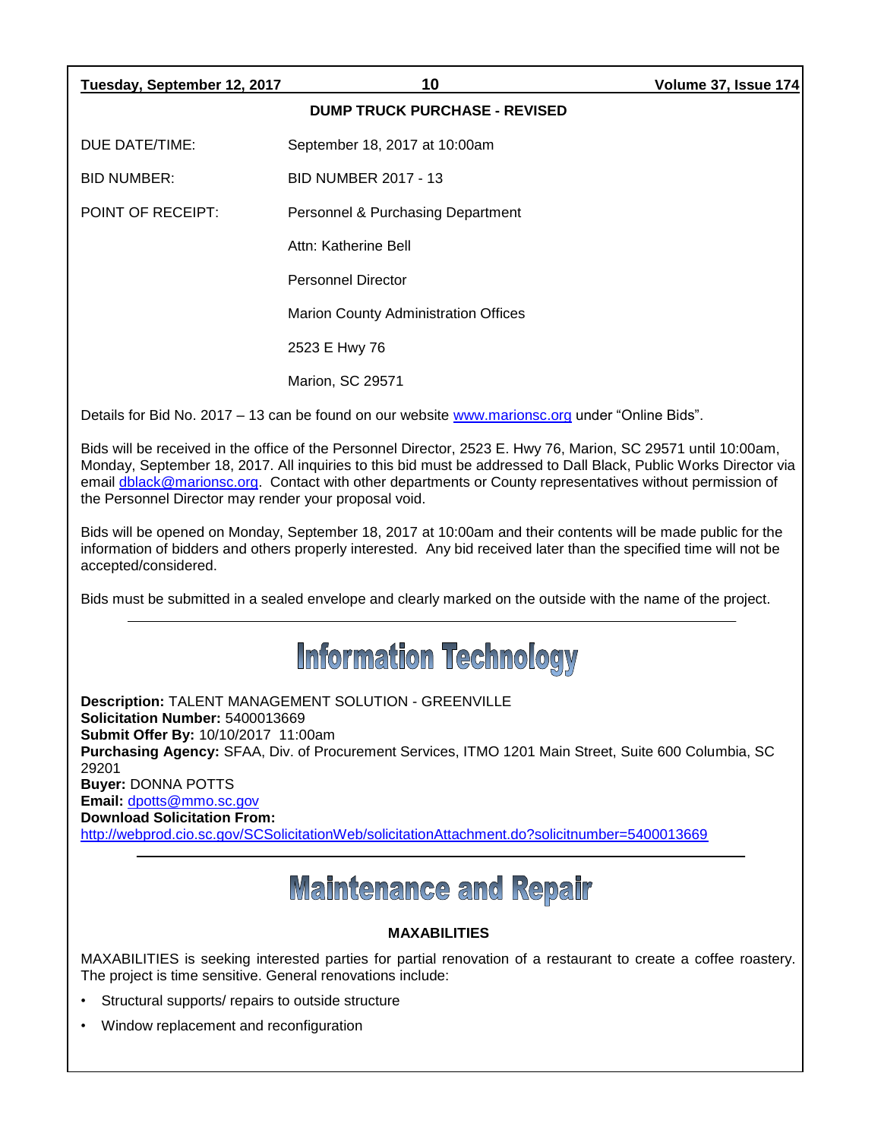| Tuesday, September 12, 2017                                                                                                                                                                                                                                                                                                                                                                                                                      | 10                                                                                              | Volume 37, Issue 174 |  |  |
|--------------------------------------------------------------------------------------------------------------------------------------------------------------------------------------------------------------------------------------------------------------------------------------------------------------------------------------------------------------------------------------------------------------------------------------------------|-------------------------------------------------------------------------------------------------|----------------------|--|--|
|                                                                                                                                                                                                                                                                                                                                                                                                                                                  | <b>DUMP TRUCK PURCHASE - REVISED</b>                                                            |                      |  |  |
| DUE DATE/TIME:                                                                                                                                                                                                                                                                                                                                                                                                                                   | September 18, 2017 at 10:00am                                                                   |                      |  |  |
| <b>BID NUMBER:</b>                                                                                                                                                                                                                                                                                                                                                                                                                               | <b>BID NUMBER 2017 - 13</b>                                                                     |                      |  |  |
| <b>POINT OF RECEIPT:</b>                                                                                                                                                                                                                                                                                                                                                                                                                         | Personnel & Purchasing Department                                                               |                      |  |  |
|                                                                                                                                                                                                                                                                                                                                                                                                                                                  | Attn: Katherine Bell                                                                            |                      |  |  |
|                                                                                                                                                                                                                                                                                                                                                                                                                                                  | <b>Personnel Director</b>                                                                       |                      |  |  |
|                                                                                                                                                                                                                                                                                                                                                                                                                                                  | <b>Marion County Administration Offices</b>                                                     |                      |  |  |
|                                                                                                                                                                                                                                                                                                                                                                                                                                                  | 2523 E Hwy 76                                                                                   |                      |  |  |
|                                                                                                                                                                                                                                                                                                                                                                                                                                                  | <b>Marion, SC 29571</b>                                                                         |                      |  |  |
|                                                                                                                                                                                                                                                                                                                                                                                                                                                  | Details for Bid No. 2017 - 13 can be found on our website www.marionsc.org under "Online Bids". |                      |  |  |
| Bids will be received in the office of the Personnel Director, 2523 E. Hwy 76, Marion, SC 29571 until 10:00am,<br>Monday, September 18, 2017. All inquiries to this bid must be addressed to Dall Black, Public Works Director via<br>email dblack@marionsc.org. Contact with other departments or County representatives without permission of<br>the Personnel Director may render your proposal void.                                         |                                                                                                 |                      |  |  |
| Bids will be opened on Monday, September 18, 2017 at 10:00am and their contents will be made public for the<br>information of bidders and others properly interested. Any bid received later than the specified time will not be<br>accepted/considered.                                                                                                                                                                                         |                                                                                                 |                      |  |  |
| Bids must be submitted in a sealed envelope and clearly marked on the outside with the name of the project.                                                                                                                                                                                                                                                                                                                                      |                                                                                                 |                      |  |  |
| <b>Information Technology</b>                                                                                                                                                                                                                                                                                                                                                                                                                    |                                                                                                 |                      |  |  |
| Description: TALENT MANAGEMENT SOLUTION - GREENVILLE<br>Solicitation Number: 5400013669<br>Submit Offer By: 10/10/2017 11:00am<br>Purchasing Agency: SFAA, Div. of Procurement Services, ITMO 1201 Main Street, Suite 600 Columbia, SC<br>29201<br><b>Buyer: DONNA POTTS</b><br>Email: dpotts@mmo.sc.gov<br><b>Download Solicitation From:</b><br>http://webprod.cio.sc.gov/SCSolicitationWeb/solicitationAttachment.do?solicitnumber=5400013669 |                                                                                                 |                      |  |  |
| <b>Maintenance and Repair</b>                                                                                                                                                                                                                                                                                                                                                                                                                    |                                                                                                 |                      |  |  |
| <b>MAXABILITIES</b>                                                                                                                                                                                                                                                                                                                                                                                                                              |                                                                                                 |                      |  |  |

MAXABILITIES is seeking interested parties for partial renovation of a restaurant to create a coffee roastery. The project is time sensitive. General renovations include:

- Structural supports/ repairs to outside structure
- Window replacement and reconfiguration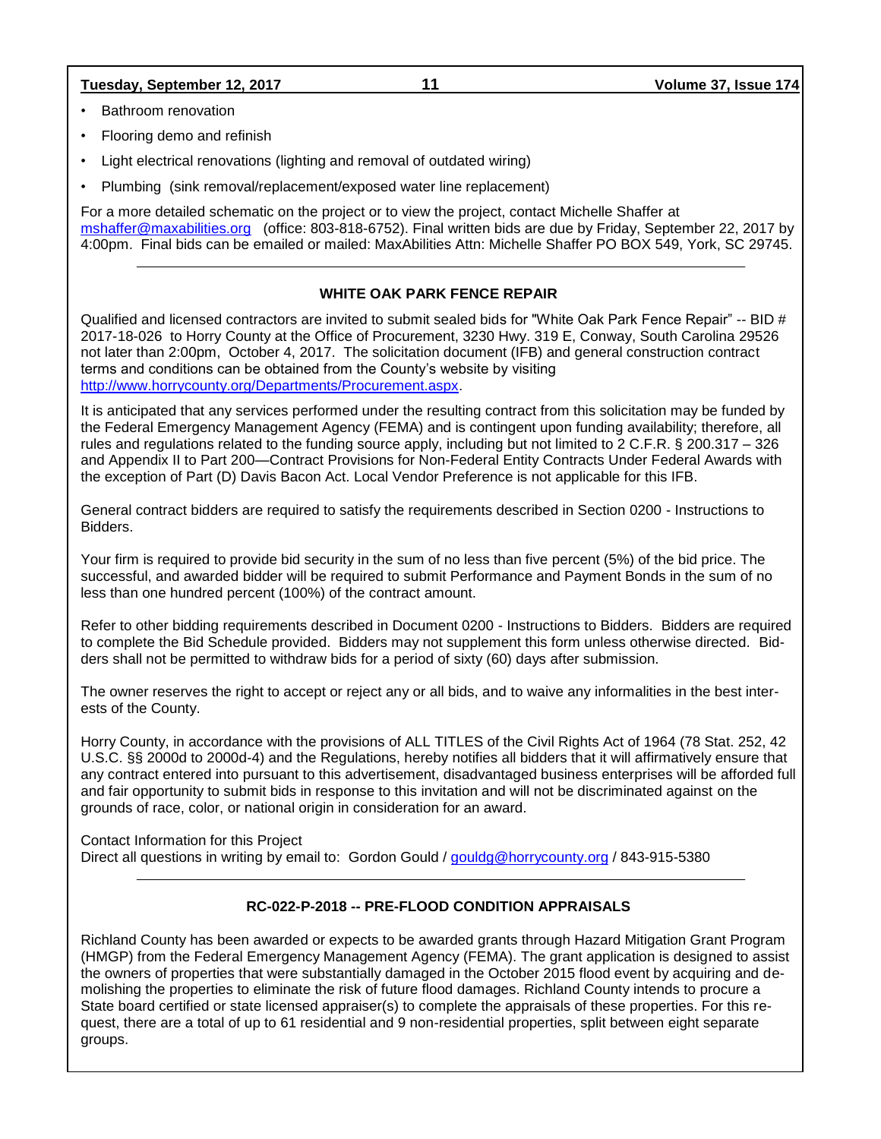### **Tuesday, September 12, 2017 11 Volume 37, Issue 174**

- Bathroom renovation
- Flooring demo and refinish
- Light electrical renovations (lighting and removal of outdated wiring)
- Plumbing (sink removal/replacement/exposed water line replacement)

For a more detailed schematic on the project or to view the project, contact Michelle Shaffer at [mshaffer@maxabilities.org](mailto:mshaffer@maxabilities.org) (office: 803-818-6752). Final written bids are due by Friday, September 22, 2017 by 4:00pm. Final bids can be emailed or mailed: MaxAbilities Attn: Michelle Shaffer PO BOX 549, York, SC 29745.

### **WHITE OAK PARK FENCE REPAIR**

Qualified and licensed contractors are invited to submit sealed bids for "White Oak Park Fence Repair" -- BID # 2017-18-026 to Horry County at the Office of Procurement, 3230 Hwy. 319 E, Conway, South Carolina 29526 not later than 2:00pm, October 4, 2017. The solicitation document (IFB) and general construction contract terms and conditions can be obtained from the County's website by visiting [http://www.horrycounty.org/Departments/Procurement.aspx.](http://www.horrycounty.org/Departments/Procurement.aspx)

It is anticipated that any services performed under the resulting contract from this solicitation may be funded by the Federal Emergency Management Agency (FEMA) and is contingent upon funding availability; therefore, all rules and regulations related to the funding source apply, including but not limited to 2 C.F.R. § 200.317 – 326 and Appendix II to Part 200—Contract Provisions for Non-Federal Entity Contracts Under Federal Awards with the exception of Part (D) Davis Bacon Act. Local Vendor Preference is not applicable for this IFB.

General contract bidders are required to satisfy the requirements described in Section 0200 - Instructions to Bidders.

Your firm is required to provide bid security in the sum of no less than five percent (5%) of the bid price. The successful, and awarded bidder will be required to submit Performance and Payment Bonds in the sum of no less than one hundred percent (100%) of the contract amount.

Refer to other bidding requirements described in Document 0200 - Instructions to Bidders. Bidders are required to complete the Bid Schedule provided. Bidders may not supplement this form unless otherwise directed. Bidders shall not be permitted to withdraw bids for a period of sixty (60) days after submission.

The owner reserves the right to accept or reject any or all bids, and to waive any informalities in the best interests of the County.

Horry County, in accordance with the provisions of ALL TITLES of the Civil Rights Act of 1964 (78 Stat. 252, 42 U.S.C. §§ 2000d to 2000d-4) and the Regulations, hereby notifies all bidders that it will affirmatively ensure that any contract entered into pursuant to this advertisement, disadvantaged business enterprises will be afforded full and fair opportunity to submit bids in response to this invitation and will not be discriminated against on the grounds of race, color, or national origin in consideration for an award.

Contact Information for this Project Direct all questions in writing by email to: Gordon Gould / [gouldg@horrycounty.org](mailto:gouldg@horrycounty.org) / 843-915-5380

### **RC-022-P-2018 -- PRE-FLOOD CONDITION APPRAISALS**

Richland County has been awarded or expects to be awarded grants through Hazard Mitigation Grant Program (HMGP) from the Federal Emergency Management Agency (FEMA). The grant application is designed to assist the owners of properties that were substantially damaged in the October 2015 flood event by acquiring and demolishing the properties to eliminate the risk of future flood damages. Richland County intends to procure a State board certified or state licensed appraiser(s) to complete the appraisals of these properties. For this request, there are a total of up to 61 residential and 9 non-residential properties, split between eight separate groups.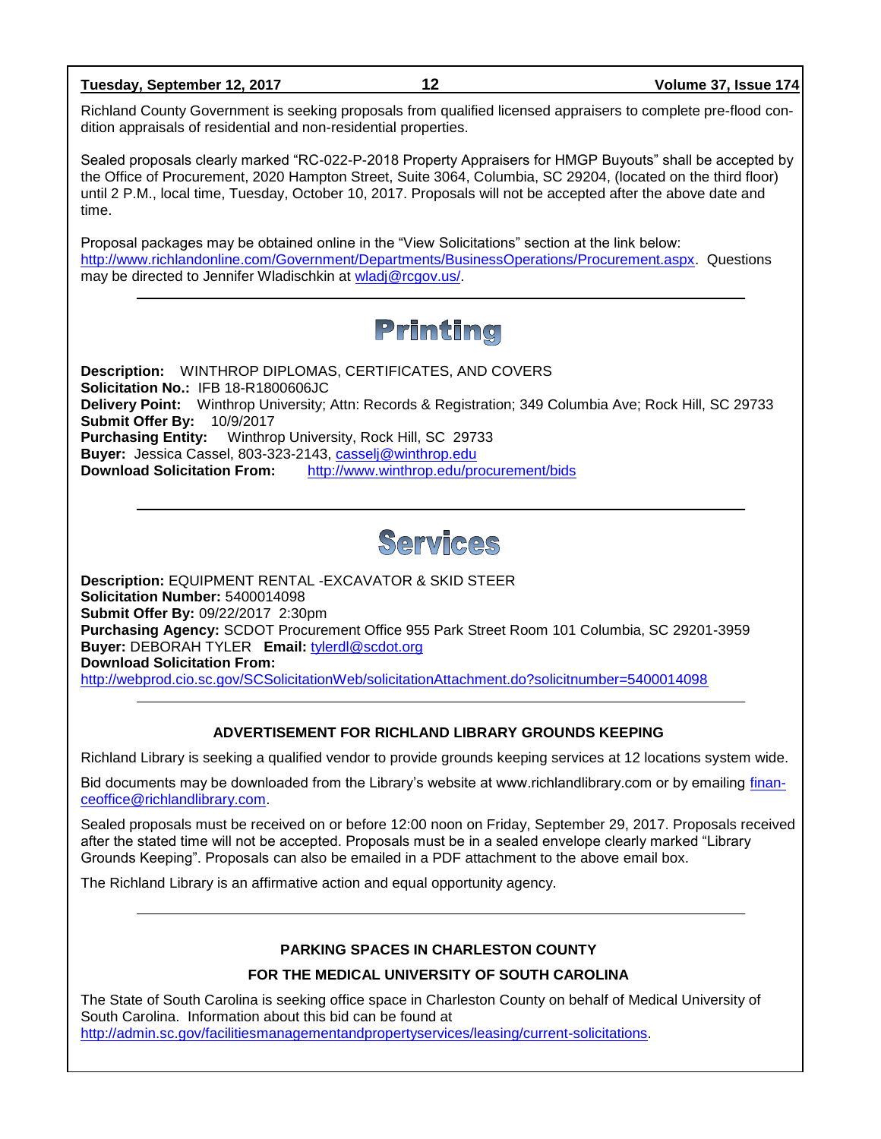**Tuesday, September 12, 2017 12 Volume 37, Issue 174**

Richland County Government is seeking proposals from qualified licensed appraisers to complete pre-flood condition appraisals of residential and non-residential properties.

Sealed proposals clearly marked "RC-022-P-2018 Property Appraisers for HMGP Buyouts" shall be accepted by the Office of Procurement, 2020 Hampton Street, Suite 3064, Columbia, SC 29204, (located on the third floor) until 2 P.M., local time, Tuesday, October 10, 2017. Proposals will not be accepted after the above date and time.

Proposal packages may be obtained online in the "View Solicitations" section at the link below: [http://www.richlandonline.com/Government/Departments/BusinessOperations/Procurement.aspx.](http://www.richlandonline.com/Government/Departments/BusinessOperations/Procurement.aspx) Questions may be directed to Jennifer Wladischkin at [wladj@rcgov.us/.](mailto:wladj@rcgov.us/)

## Printing

**Description:** WINTHROP DIPLOMAS, CERTIFICATES, AND COVERS **Solicitation No.:** IFB 18-R1800606JC **Delivery Point:** Winthrop University; Attn: Records & Registration; 349 Columbia Ave; Rock Hill, SC 29733 **Submit Offer By:** 10/9/2017 **Purchasing Entity:** Winthrop University, Rock Hill, SC 29733 **Buyer:** Jessica Cassel, 803-323-2143, [casselj@winthrop.edu](mailto:casselj@winthrop.edu) **Download Solicitation From:** <http://www.winthrop.edu/procurement/bids>



**Description:** EQUIPMENT RENTAL -EXCAVATOR & SKID STEER **Solicitation Number:** 5400014098 **Submit Offer By:** 09/22/2017 2:30pm **Purchasing Agency:** SCDOT Procurement Office 955 Park Street Room 101 Columbia, SC 29201-3959 **Buyer:** DEBORAH TYLER **Email:** [tylerdl@scdot.org](mailto:tylerdl@scdot.org) **Download Solicitation From:**  <http://webprod.cio.sc.gov/SCSolicitationWeb/solicitationAttachment.do?solicitnumber=5400014098>

### **ADVERTISEMENT FOR RICHLAND LIBRARY GROUNDS KEEPING**

Richland Library is seeking a qualified vendor to provide grounds keeping services at 12 locations system wide.

Bid documents may be downloaded from the Library's website at www.richlandlibrary.com or by emailing [finan](mailto:financeoffice@richlandlibrary.com)[ceoffice@richlandlibrary.com.](mailto:financeoffice@richlandlibrary.com)

Sealed proposals must be received on or before 12:00 noon on Friday, September 29, 2017. Proposals received after the stated time will not be accepted. Proposals must be in a sealed envelope clearly marked "Library Grounds Keeping". Proposals can also be emailed in a PDF attachment to the above email box.

The Richland Library is an affirmative action and equal opportunity agency.

### **PARKING SPACES IN CHARLESTON COUNTY**

### **FOR THE MEDICAL UNIVERSITY OF SOUTH CAROLINA**

The State of South Carolina is seeking office space in Charleston County on behalf of Medical University of South Carolina. Information about this bid can be found at [http://admin.sc.gov/facilitiesmanagementandpropertyservices/leasing/current-solicitations.](http://admin.sc.gov/facilitiesmanagementandpropertyservices/leasing/current-solicitations)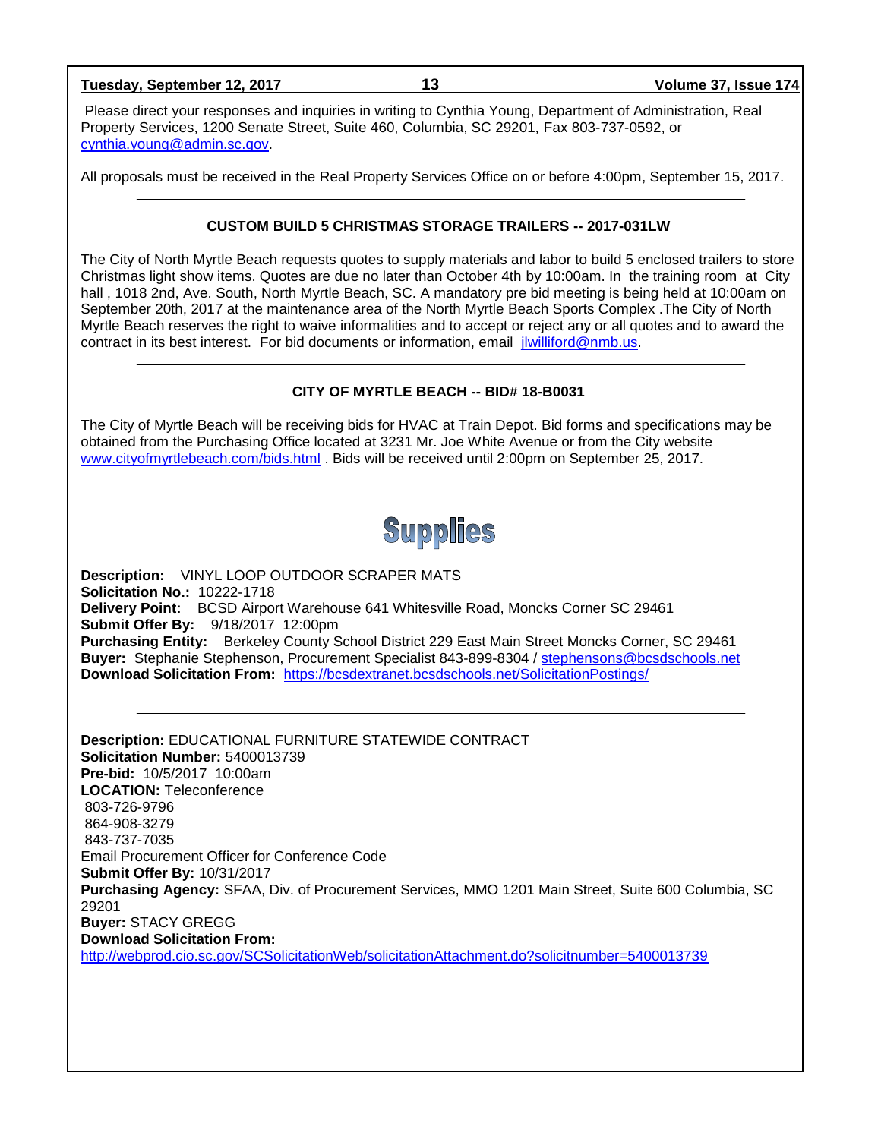Please direct your responses and inquiries in writing to Cynthia Young, Department of Administration, Real Property Services, 1200 Senate Street, Suite 460, Columbia, SC 29201, Fax 803-737-0592, or [cynthia.young@admin.sc.gov.](mailto:cynthia.young@admin.sc.gov)

All proposals must be received in the Real Property Services Office on or before 4:00pm, September 15, 2017.

### **CUSTOM BUILD 5 CHRISTMAS STORAGE TRAILERS -- 2017-031LW**

The City of North Myrtle Beach requests quotes to supply materials and labor to build 5 enclosed trailers to store Christmas light show items. Quotes are due no later than October 4th by 10:00am. In the training room at City hall, 1018 2nd, Ave. South, North Myrtle Beach, SC. A mandatory pre bid meeting is being held at 10:00am on September 20th, 2017 at the maintenance area of the North Myrtle Beach Sports Complex .The City of North Myrtle Beach reserves the right to waive informalities and to accept or reject any or all quotes and to award the contract in its best interest. For bid documents or information, email [jlwilliford@nmb.us.](mailto:jlwilliford@nmb.us)

### **CITY OF MYRTLE BEACH -- BID# 18-B0031**

The City of Myrtle Beach will be receiving bids for HVAC at Train Depot. Bid forms and specifications may be obtained from the Purchasing Office located at 3231 Mr. Joe White Avenue or from the City website [www.cityofmyrtlebeach.com/bids.html](http://www.cityofmyrtlebeach.com/bids.html) . Bids will be received until 2:00pm on September 25, 2017.

**Supplies** 

**Description:** VINYL LOOP OUTDOOR SCRAPER MATS **Solicitation No.:** 10222-1718 **Delivery Point:** BCSD Airport Warehouse 641 Whitesville Road, Moncks Corner SC 29461 **Submit Offer By:** 9/18/2017 12:00pm **Purchasing Entity:** Berkeley County School District 229 East Main Street Moncks Corner, SC 29461 **Buyer:** Stephanie Stephenson, Procurement Specialist 843-899-8304 / [stephensons@bcsdschools.net](mailto:stephensons@bcsdschools.net) **Download Solicitation From:** <https://bcsdextranet.bcsdschools.net/SolicitationPostings/>

**Description:** EDUCATIONAL FURNITURE STATEWIDE CONTRACT **Solicitation Number:** 5400013739 **Pre-bid:** 10/5/2017 10:00am **LOCATION:** Teleconference 803-726-9796 864-908-3279 843-737-7035 Email Procurement Officer for Conference Code **Submit Offer By:** 10/31/2017 **Purchasing Agency:** SFAA, Div. of Procurement Services, MMO 1201 Main Street, Suite 600 Columbia, SC 29201 **Buyer:** STACY GREGG **Download Solicitation From:**  <http://webprod.cio.sc.gov/SCSolicitationWeb/solicitationAttachment.do?solicitnumber=5400013739>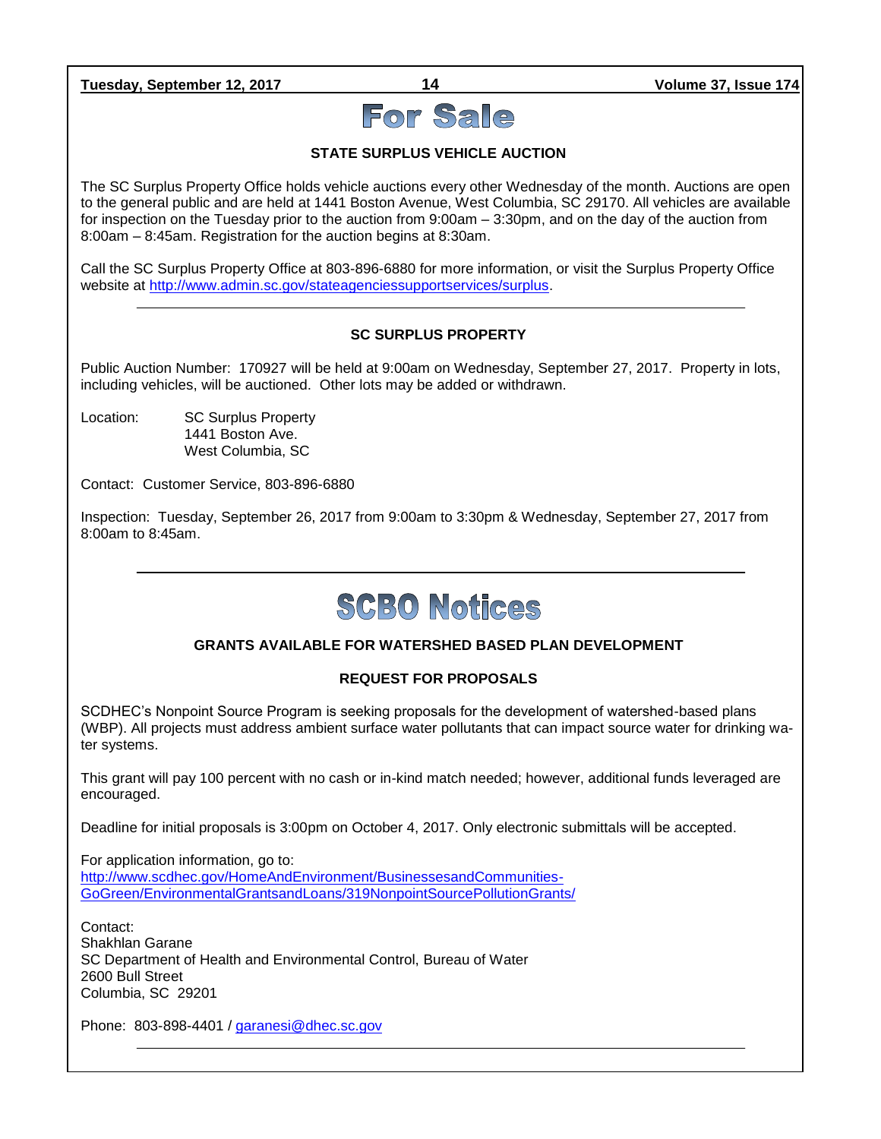**Tuesday, September 12, 2017 14 Volume 37, Issue 174**

# For Sale

### **STATE SURPLUS VEHICLE AUCTION**

The SC Surplus Property Office holds vehicle auctions every other Wednesday of the month. Auctions are open to the general public and are held at 1441 Boston Avenue, West Columbia, SC 29170. All vehicles are available for inspection on the Tuesday prior to the auction from 9:00am – 3:30pm, and on the day of the auction from 8:00am – 8:45am. Registration for the auction begins at 8:30am.

Call the SC Surplus Property Office at 803-896-6880 for more information, or visit the Surplus Property Office website at [http://www.admin.sc.gov/stateagenciessupportservices/surplus.](http://www.admin.sc.gov/stateagenciessupportservices/surplus)

### **SC SURPLUS PROPERTY**

Public Auction Number: 170927 will be held at 9:00am on Wednesday, September 27, 2017. Property in lots, including vehicles, will be auctioned. Other lots may be added or withdrawn.

Location: SC Surplus Property 1441 Boston Ave. West Columbia, SC

Contact: Customer Service, 803-896-6880

Inspection: Tuesday, September 26, 2017 from 9:00am to 3:30pm & Wednesday, September 27, 2017 from 8:00am to 8:45am.

# **SCBO Notices**

### **GRANTS AVAILABLE FOR WATERSHED BASED PLAN DEVELOPMENT**

### **REQUEST FOR PROPOSALS**

SCDHEC's Nonpoint Source Program is seeking proposals for the development of watershed-based plans (WBP). All projects must address ambient surface water pollutants that can impact source water for drinking water systems.

This grant will pay 100 percent with no cash or in-kind match needed; however, additional funds leveraged are encouraged.

Deadline for initial proposals is 3:00pm on October 4, 2017. Only electronic submittals will be accepted.

For application information, go to: [http://www.scdhec.gov/HomeAndEnvironment/BusinessesandCommunities-](http://www.scdhec.gov/HomeAndEnvironment/BusinessesandCommunities-GoGreen/EnvironmentalGrantsandLoans/319NonpointSourcePollutionGrants/)[GoGreen/EnvironmentalGrantsandLoans/319NonpointSourcePollutionGrants/](http://www.scdhec.gov/HomeAndEnvironment/BusinessesandCommunities-GoGreen/EnvironmentalGrantsandLoans/319NonpointSourcePollutionGrants/)

Contact: Shakhlan Garane SC Department of Health and Environmental Control, Bureau of Water 2600 Bull Street Columbia, SC 29201

Phone: 803-898-4401 / [garanesi@dhec.sc.gov](mailto:garanesi@dhec.sc.gov)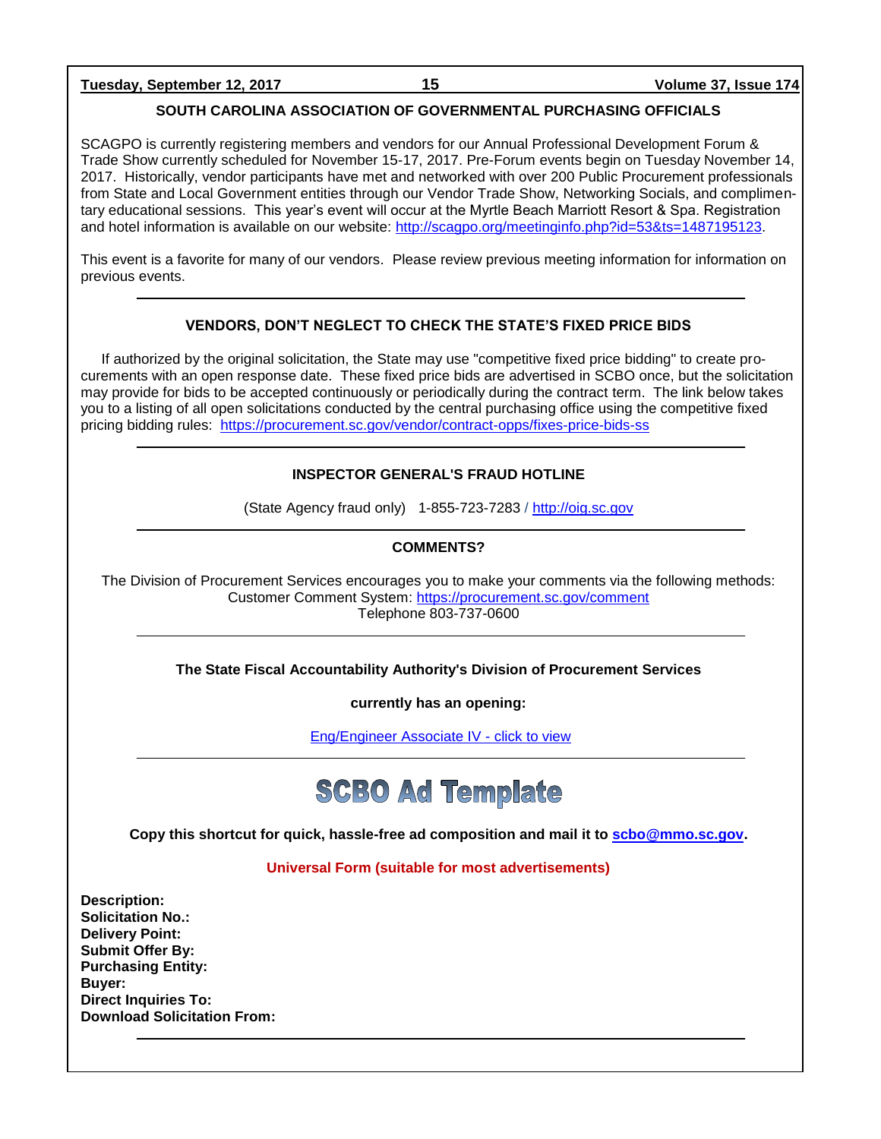**Tuesday, September 12, 2017 15 Volume 37, Issue 174**

### **SOUTH CAROLINA ASSOCIATION OF GOVERNMENTAL PURCHASING OFFICIALS**

SCAGPO is currently registering members and vendors for our Annual Professional Development Forum & Trade Show currently scheduled for November 15-17, 2017. Pre-Forum events begin on Tuesday November 14, 2017. Historically, vendor participants have met and networked with over 200 Public Procurement professionals from State and Local Government entities through our Vendor Trade Show, Networking Socials, and complimentary educational sessions. This year's event will occur at the Myrtle Beach Marriott Resort & Spa. Registration and hotel information is available on our website: [http://scagpo.org/meetinginfo.php?id=53&ts=1487195123.](http://scagpo.org/meetinginfo.php?id=53&ts=1487195123)

This event is a favorite for many of our vendors. Please review previous meeting information for information on previous events.

### **VENDORS, DON'T NEGLECT TO CHECK THE STATE'S FIXED PRICE BIDS**

If authorized by the original solicitation, the State may use "competitive fixed price bidding" to create procurements with an open response date. These fixed price bids are advertised in SCBO once, but the solicitation may provide for bids to be accepted continuously or periodically during the contract term. The link below takes you to a listing of all open solicitations conducted by the central purchasing office using the competitive fixed pricing bidding rules: <https://procurement.sc.gov/vendor/contract-opps/fixes-price-bids-ss>

### **INSPECTOR GENERAL'S FRAUD HOTLINE**

(State Agency fraud only) 1-855-723-7283 / [http://oig.sc.gov](http://oig.sc.gov/)

### **COMMENTS?**

The Division of Procurement Services encourages you to make your comments via the following methods: Customer Comment System:<https://procurement.sc.gov/comment> Telephone 803-737-0600

### **The State Fiscal Accountability Authority's Division of Procurement Services**

**currently has an opening:**

[Eng/Engineer Associate IV -](http://agency.governmentjobs.com/sc/default.cfm?action=viewJob&jobID=1632757&hit_count=yes&headerFooter=1&promo=0&transfer=0&WDDXJobSearchParams=%3CwddxPacket%20version%3D%271%2E0%27%3E%3Cheader%2F%3E%3Cdata%3E%3Cstruct%3E%3Cvar%20name%3D%27TRANSFER%27%3E%3Cstring%3E0%3C%2Fstring%3E%3C%2Fvar%3E%3Cvar%20name%3D%27CATEGORYID%27%3E%3Cstring%3E-1%3C%2Fstring%3E%3C%2Fvar%3E%3Cvar%20name%3D%27FIND_KEYWORD%27%3E%3Cstring%3E%3C%2Fstring%3E%3C%2Fvar%3E%3Cvar%20name%3D%27PROMOTIONALJOBS%27%3E%3Cstring%3E0%3C%2Fstring%3E%3C%2Fvar%3E%3C%2Fstruct%3E%3C%2Fdata%3E%3C%2FwddxPacket%3E) click to view



**Copy this shortcut for quick, hassle-free ad composition and mail it to [scbo@mmo.sc.gov.](mailto:scbo@mmo.sc.gov)** 

### **Universal Form (suitable for most advertisements)**

**Description: Solicitation No.: Delivery Point: Submit Offer By: Purchasing Entity: Buyer: Direct Inquiries To: Download Solicitation From:**